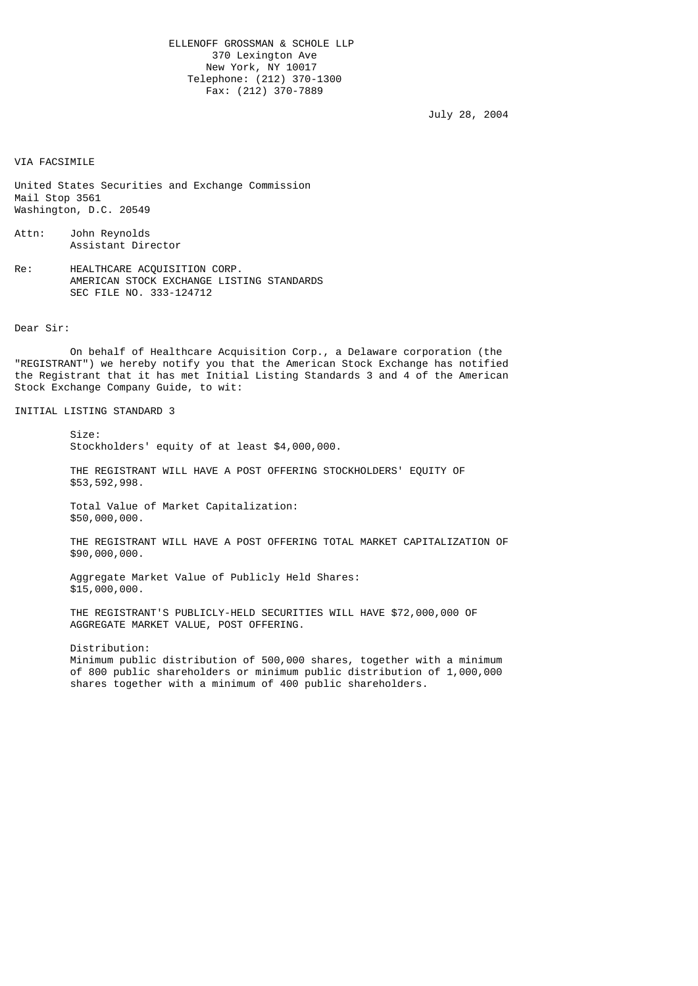ELLENOFF GROSSMAN & SCHOLE LLP 370 Lexington Ave New York, NY 10017 Telephone: (212) 370-1300 Fax: (212) 370-7889

July 28, 2004

VIA FACSIMILE

United States Securities and Exchange Commission Mail Stop 3561 Washington, D.C. 20549

Attn: John Reynolds Assistant Director

Re: HEALTHCARE ACQUISITION CORP. AMERICAN STOCK EXCHANGE LISTING STANDARDS SEC FILE NO. 333-124712

Dear Sir:

 On behalf of Healthcare Acquisition Corp., a Delaware corporation (the "REGISTRANT") we hereby notify you that the American Stock Exchange has notified the Registrant that it has met Initial Listing Standards 3 and 4 of the American Stock Exchange Company Guide, to wit:

INITIAL LISTING STANDARD 3

Size:

Stockholders' equity of at least \$4,000,000.

 THE REGISTRANT WILL HAVE A POST OFFERING STOCKHOLDERS' EQUITY OF \$53,592,998.

 Total Value of Market Capitalization: \$50,000,000.

 THE REGISTRANT WILL HAVE A POST OFFERING TOTAL MARKET CAPITALIZATION OF \$90,000,000.

 Aggregate Market Value of Publicly Held Shares: \$15,000,000.

 THE REGISTRANT'S PUBLICLY-HELD SECURITIES WILL HAVE \$72,000,000 OF AGGREGATE MARKET VALUE, POST OFFERING.

 Distribution: Minimum public distribution of 500,000 shares, together with a minimum of 800 public shareholders or minimum public distribution of 1,000,000 shares together with a minimum of 400 public shareholders.